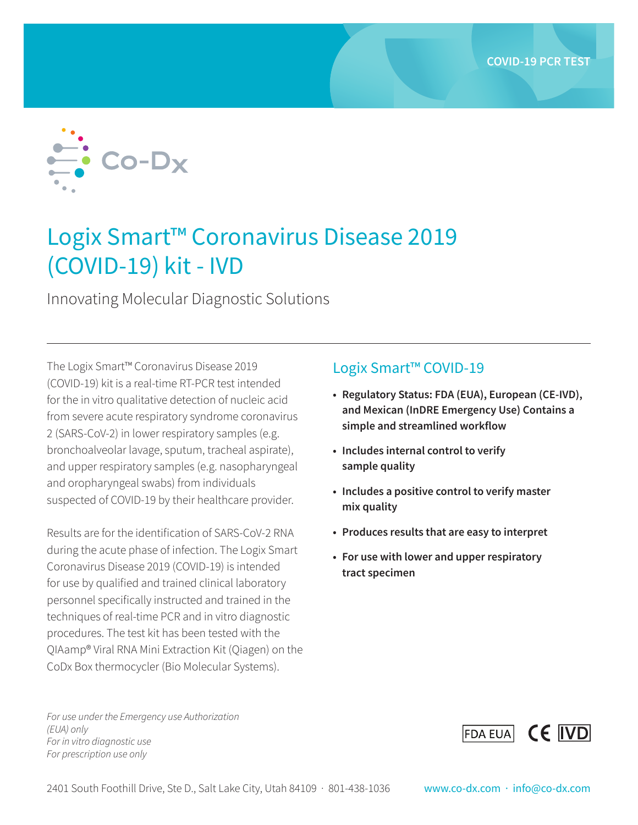

# Logix Smart™ Coronavirus Disease 2019 (COVID-19) kit - IVD

Innovating Molecular Diagnostic Solutions

The Logix Smart™ Coronavirus Disease 2019 (COVID-19) kit is a real-time RT-PCR test intended for the in vitro qualitative detection of nucleic acid from severe acute respiratory syndrome coronavirus 2 (SARS-CoV-2) in lower respiratory samples (e.g. bronchoalveolar lavage, sputum, tracheal aspirate), and upper respiratory samples (e.g. nasopharyngeal and oropharyngeal swabs) from individuals suspected of COVID-19 by their healthcare provider.

Results are for the identification of SARS-CoV-2 RNA during the acute phase of infection. The Logix Smart Coronavirus Disease 2019 (COVID-19) is intended for use by qualified and trained clinical laboratory personnel specifically instructed and trained in the techniques of real-time PCR and in vitro diagnostic procedures. The test kit has been tested with the QIAamp® Viral RNA Mini Extraction Kit (Qiagen) on the CoDx Box thermocycler (Bio Molecular Systems).

*For use under the Emergency use Authorization (EUA) only For in vitro diagnostic use For prescription use only* 

## Logix Smart™ COVID-19

- **• Regulatory Status: FDA (EUA), European (CE-IVD), and Mexican (InDRE Emergency Use) Contains a simple and streamlined workflow**
- **• Includes internal control to verify sample quality**
- **• Includes a positive control to verify master mix quality**
- **• Produces results that are easy to interpret**
- **• For use with lower and upper respiratory tract specimen**